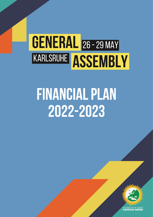# GENERAL 26 - 29 MAY KARLSRUHE ASSEMBLY

# **FINANCIAL PLAN** 2022-2023



FEDERATION OF YOUNG<br>**EUROPEAN GREENS**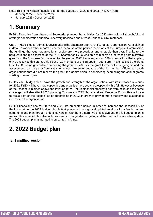Note: This is the written financial plan for the budgets of 2022 and 2023. They run from:

- January 2022 December 2022
- January 2023 December 2023

## **1. Summary**

FYEG's Executive Committee and Secretariat planned the activities for 2022 after a lot of thoughtful and strategic consideration but also under very uncertain and stressful financial circumstances.

One of FYEG's biggest administrative grants is the Erasmus+ grant of the European Commission. As explained in detail in various other reports presented, because of the political decisions of the European Commission, the fundings the youth organisations receive are more precarious and unstable than ever. Thanks to the hard work and the expertise of the FYEG Secretariat, FYEG was able to receive an increased administrative grant from the European Commission for the year of 2022. However, among 130 organisations that applied, only 30 received this grant. Only 8 out of 20 members of the European Youth Forum have received the grant. First, FYEG has no guarantee of receiving the grant for 2023 as the grant format will change again and the assessments can vary a lot from a year to the next. Moreover, because of the high number of European youth organisations that did not receive the grant, the Commission is considering decreasing the annual grants starting from next year.

FYEG's 2022 budget plan shows the growth and strength of the organisation. With its increased revenues for 2022, FYEG will have more capacities and organise more activities, especially this fall. However, because of the reasons explained above and inflation rates, FYEG's financial stability is far from solid and the same challenges will also affect 2023 planning. This means FYEG Secretariat and Executive Committee will have to focus a lot of their capacities on fundraising in 2022, in order to provide more stability and sustainable incomes to the organisation.

FYEG's financial plans for 2022 and 2023 are presented below. In order to increase the accessibility of the information the 2022 budget plan is first presented through a simplified version with a few important comments and then through a detailed version with both a narrative breakdown and the full budget plan in Annex. This financial plan also includes a section on gender budgeting and the new participation fee system. The 2023 budget plan annotated is presented in Annex.

## **2. 2022 Budget plan**

**a. Simplified version**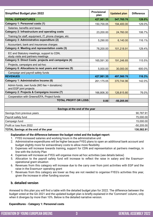| <b>Simplified Budget plan 2022</b>                                               | <b>Provisional</b><br>plan | <b>Updated plan</b> | <b>Difference</b> |  |  |  |
|----------------------------------------------------------------------------------|----------------------------|---------------------|-------------------|--|--|--|
| <b>TOTAL EXPENDITURES</b>                                                        | 427,981.35                 | 547,765.76          | 128.0%            |  |  |  |
| Category 1: Personnel costs (1)                                                  | 150,700.05                 | 194,400.00          | 129.0%            |  |  |  |
| Salaries, benefits and taxes                                                     |                            |                     |                   |  |  |  |
| <b>Category 2: Infrastructure and operating costs</b>                            | 23,200.00                  | 24,760.00           | 106.7%            |  |  |  |
| Training for staff, equipment, IT, phone charges, etc.                           |                            |                     |                   |  |  |  |
| Category 3: Administrative expenditure (2)                                       | 5,290.00                   | 6,140.00            | 116.1%            |  |  |  |
| Accountant, bank and insurances charges                                          |                            |                     |                   |  |  |  |
| Category 4: Meeting and representation costs (3)                                 | 78,200.00                  | 101,218.91          | 129.4%            |  |  |  |
| EC and Statutory meetings, support to CDN,<br>study visits and partners meetings |                            |                     |                   |  |  |  |
| Category 5: Direct Costs: projects and campaigns (4)                             | 165,591.30                 | 191,246.85          | 115.5%            |  |  |  |
| Projects, campaigns and ad-hoc                                                   |                            |                     |                   |  |  |  |
| Category 6: Allocations to next years and reserves (5)                           | 5,000.00                   | 30,000.00           | 600.0%            |  |  |  |
| Campaign and payroll safety funds                                                |                            |                     |                   |  |  |  |
| <b>REVENUES</b>                                                                  | 427,981.35                 | 497,560.76          | 116.3%            |  |  |  |
| Category 1: Administrative Income (6)                                            | 261,175.05                 | 370,744.96          | 142.0%            |  |  |  |
| Admin funds, own funds (MO fee + donations)<br>and EGP joint projects            |                            |                     |                   |  |  |  |
| Category 2: Projects & Campaigns income (7)                                      | 166,806.30                 | 126,815.80          | 76.0%             |  |  |  |
| Cooperation with Greens/EFA, Project funds                                       |                            |                     |                   |  |  |  |
| <b>TOTAL PROFIT OR LOSS</b>                                                      | 0.00                       | $-50,205.00$        |                   |  |  |  |
|                                                                                  |                            |                     |                   |  |  |  |
| Savings at the end of the year                                                   |                            |                     |                   |  |  |  |
| Savings from previous years                                                      |                            |                     | 90,787.91         |  |  |  |
| Payroll safety fund                                                              | 75,000.00                  |                     |                   |  |  |  |
| Campaign fund                                                                    |                            |                     | 15,000.00         |  |  |  |
| Profit or loss from 2022                                                         |                            |                     | $-50,205.00$      |  |  |  |

**TOTAL Savings at the end of the year 130,582.91**

#### **Explanation of the difference between the budget voted and the budget report:**

- 1. FYEG increased salaries and working hours in the administrative unit
- 2. Administrative expenditures will be higher because FYEG plans to open an additional bank account and budget slightly more for extraordinary costs to allow more flexibility
- 3. Expenses will increase towards training, support for CDN and representation at partners meetings, in line with the Activity Plan
- 4. Expenses will increase as FYEG will organise more ad hoc activities (see details below)
- 5. Allocation to the payroll safety fund will increase to reflect the raise in salary and the Erasmus+ operational grant situation
- 6. Revenues from this category will increase due to the carry over from joint activities with EGP and the raise in the Erasmus+ operating grant
- 7. Revenues from this category are lower as they are not needed to organise FYEG's activities this year, given the increase in other funding sources

#### **b. detailed version**

Annexed to this plan you will find a table with the detailed budget plan for 2022. The difference between the budget voted at the GA 2021 and the updated budget plan is briefly explained in the 'Comment' column, only when it diverges by more than 10%. Below is the detailed narrative version.

#### **Expenditures - Category 1: Personnel costs**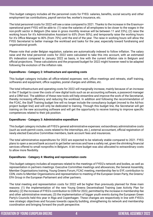This budget category includes all the personnel costs for FYEG: salaries, benefits, social security and other employment tax contributions, payroll service fee, worker's insurance, etc.

The total personnel costs for 2022 will see a raise compared to 2021. Thanks to the increase in the Erasmus+ operational grant FYEG will be able to: (1) raise the salaries of all employees to be closer to the wages in the non-profit sector in Belgium (the raise in gross monthly revenue will be between 11 and 23%); (2) raise the working hours for it's Administrative Assistant to 65% (from 50%); and temporarily raise the working hours for it's Office Manager to 80% (from 70%) until the end of the year. The raise in working hours will allow the FYEG Secretariat to better manage the workload and tasks for the year, especially toward fundraising and organisational growth.

Please note that under Belgian regulation, salaries are automatically indexed to follow inflation. The salary raise and the total personnel costs for 2022 were calculated to take this into account, with an estimated 8% indexation compared to January 2022 as basis, in line with the current inflation rate in Belgium and official projections. These calculations and the proposed budget for 2022 might however need to be adapted following the evolution of the inflation rate.

#### **Expenditures - Category 2: Infrastructure and operating costs**

This budget category includes all office-related expenses: rent, office meetings and retreats, staff training, softwares and equipment, office supplies, postal charges and utilities, etc.

The total infrastructure and operating costs for 2022 will marginally increase, mainly because of an increase in the IT budget to cover the costs of new digital tools such as an accounting software, a password manager and a CRM tool. The addition of these new tools will help streamline and improve the work of the Secretariat, thereby increasing efficiency and reducing the workload. In addition and following the recommendation of the FCAC, the Staff Training budget line will no longer include the consultancy budget (moved to the Ad-hoc project budget line) and will only be dedicated to training. Through this budget line, the Secretariat will get training on the new accounting software and will get the opportunity to receive training to improve specific competences related to their job position.

#### **Expenditures - Category 3: Administrative expenditure**

This budget category includes all FYEG's general administrative expenses: extraordinary administrative costs (such as work-permit costs, costs related to the internships, etc.), external accountant, official registration of newly elected Executive Committee members, bank account fees and insurances.

The total administrative expenditures for 2022 are expected to be relatively stable compared to 2021. FYEG plans to open a second bank account to get better services and have a safety net, given the shrinking financial services offered to small nonprofits in Belgium. A bit more budget was also allocated to extraordinary costs to allow more flexibility.

#### **Expenditures - Category 4: Meeting and representation costs**

This budget category includes all expenses related to the meetings of FYEG's network and bodies, as well as representation in partners meetings: Executive Committee meetings and allowances, the General Assembly, Member Organisations training, Young Greens Forum, FCAC meeting, membership fee to EYF, contribution to CDN, visits to Member Organisations and representation to meeting of the European Green Party, the Greens/ EFA Group in the European Parliament and other partners.

The total meeting and representation costs for 2022 will be higher than previously planned for three main reasons: (1) the implementation of the new Young Greens Decentralised Training (see Activity Plan for details); (2) the increase of FYEG's contribution to CDN for 2022, permitted by the increase in membership fee and other administrative revenues; (3) the implementation of bigger youth events during the European Green Party's Councils held this year in Riga and Copenhagen. These changes are respectively in line with FYEG's new strategic objectives and focuses towards capacity building, strengthening its network and membership coordination and bringing forward the youth perspective.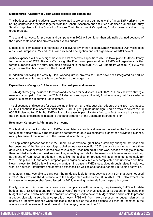#### **Expenditures - Category 5: Direct Costs: projects and campaigns**

This budget category includes all expenses related to projects and campaigns: the Annual EYF work plan, the Spring Conference organised together with the General Assembly, the activities organised around COP, Study Session organised with the Council of Europe's Youth Department, Campaigns, Ad Hoc projects and working group projects.

The total direct costs for projects and campaigns in 2022 will be higher than originally planned because of the higher costs of ad hoc projects in this year's budget.

Expenses for seminars and conferences will be overall lower than expected, mainly because COP will happen outside of Europe in 2022 and FYEG will only send a delegation and not organise an AlterCOP event.

Ad hoc expenses will be very high this year as a lot of activities specific to 2022 will take place: (1) Consultancy for the renewal of FYEG Strategy; (2) through the Erasmus+ operational grant FYEG will organise activities for the European Year of Youth, including a big event in the fall; (3) FYEG will update its website; (4) FYEG will organise small ad hoc projects with GEF and EGP.

In addition, following the Activity Plan, Working Group projects for 2022 have been integrated as part of educational activities and this is also reflected in the budget plan.

#### **Expenditures - Category 6: Allocations to the next year and reserves**

This budget category includes allocations and reserves for next years. As of 2022 FYEG only has two strategic reserves: a campaign fund for the 2024 EU elections and a payroll safety fund as a safety net for salaries in case of a decrease in administrative grants.

The allocations and reserves for 2022 are much higher than the budget plan adopted at the 2021 GA. Indeed, FYEG will continue to allocate an additional 5 000 EUR yearly to its Campaign Fund, on track to collect the 20 000 EUR planned for 2024. But FYEG will also increase its payroll safety fund to reflect the raise in salary and the continued uncertainties related to the transformation of the Erasmus+ operational grant.

#### **Revenues - Category 1: Administrative Income**

This budget category includes all of FYEG's administrative grants and revenues as well as the funds available for joint activities with EGP. The total of this category for 2022 is significantly higher than previously planned, mainly because of the increase of the Erasmus+ operational grant.

The application process for the 2022 Erasmus+ operational grant has drastically changed last year and has been one of the Secretariat's biggest challenges ever since. For 2022, the grant amount has more than doubled but the application process now covers only 1 year instead of 4, the work needed to apply also more than doubled with shorter deadlines and longer waiting periods for the results which were announced only at the end of April 2022. In addition it looks like the application process will again change completely for 2023. This puts FYEG and other European youth organisations in a very complicated and uncertain position. Nevertheless, for 2022 this will allow a significant increase in FYEG's capacities through raises in salaries, working hours, infrastructure and operating expenses, as well as additional autonomy in funding activities.

In addition, FYEG was able to carry over the funds available for joint activities with EGP that were not used in 2021, this explains the difference with the budget plan voted by the GA in 2021. FYEG also expects an increase in the membership fee collected for 2022, following the trends from the past few years.

Finally, in order to improve transparency and compliance with accounting requirements, FYEG will delete budget line 7.3.5 (Allocations from previous years) from the revenue section of its budget. In the past, this budget line was used to indicate the amount of savings used to balance budget plans and be able to present a budget plan with a zero balance (profit or loss). FYEG will from now on present its budget plan with a negative or positive balance when applicable, the result of the year's balance will then be reflected in the allocation and reserve section at the end of the budget, under section 6.4.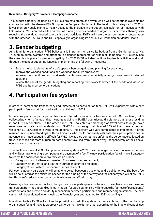#### **Revenues - Category 2: Projects & Campaigns income**

This budget category includes all of FYEG's projects grants and revenues as well as the funds available for cooperation with the Greens/EFA Group in the European Parliament. The total of this category for 2022 is lower than previously planned, mainly because the increase in the budget available for joint activities with EGP means FYEG can reduce the number of funding sources needed to organise its activities, thereby also reducing the workload needed to organise said activities. FYEG will nevertheless continue its cooperation with the Greens/EFA Group and GEF, especially in organising its annual EYF work plan on Mental Health.

## **3. Gender budgeting**

As a feminist organisation, FYEG believes it is important to realise its budget from a Gender perspective. Through its quota systems and attention to balanced representation within all its bodies FYEG already has the essentials in place for gender budgeting. For 2022 FYEG will also continue to plan its activities and work through the gender budgeting lense by implementing the following measures:

- Ensure the basis elements of a safe space when budgeting and planning for activities;
- Improve the working conditions and workload for all its employees;
- Improve the conditions and workloads for its volunteers, especially amongst volunteers in elected positions;
- Review the use of the gender budgeting and reporting framework to better fit the needs and vision of FYEG and its member organisations.

## **4. Participation fee system**

In order to increase the transparency and fairness of its participation fees, FYEG will experiment with a new participation fee format for its educational activities<sup>1</sup> in 2022.

In previous years, the participation fee system for educational activities was twofold. On one hand, FYEG collected payment of a fee and participants residing in EU/EEA countries paid a bit more than those residing in non-EU/EEA countries. On the other hand, FYEG collected a percentage of travel costs through lower reimbursement rates and residents from EU/EEA countries got reimbursed 70% of their travel expenses while non-EU/EEA residents were reimbursed 90%. This system was very complicated to implement, it often resulted in misunderstandings with participants who could not easily estimate their participation fee in advance and made budgeting difficult for FYEG. It was also sometimes unfair as the percentage collected on travel expenses put more burden on participants travelling from further away, independently of their socioeconomic circumstances.

To solve these issues FYEG will implement a new system in 2022. It will no longer be based on travel expenses and will just have one single component, the payment of a fee. The new participation fee will have 3 category to reflect the socio-economic diversity within Europe:

- Category 1: for Northern and Western European countries resident;
- Category 2: for Central and Southern European countries resident;
- Category 3: for Eastern European countries resident.

For each category participants will be able to select between a basic fee and a solidarity fee. The basic fee will be calculated as the minimum needed for the funding of the activity and the solidarity fee will allow FYEG to offer a fee's reduction for participants who can not afford to pay.

On average this new system will not change the amount participants contribute to the activity but it will be more transparent from the start and outlined in the call for participants. This will increase the fairness of participants' contributions and create a solidarity mechanism between participants and member organisations. The new system will be evaluated when closing the financial year and adapted for 2023 accordingly.

In addition to this, FYEG will explore the possibility to redo the system for the calculation of the membership organisation fee and make it progressive, in order to make it more just according to the financial capabilities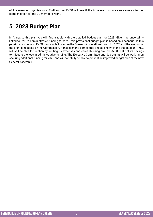of the member organisations. Furthermore, FYEG will see if the increased income can serve as further compensation for the EC members' work.

# **5. 2023 Budget Plan**

In Annex to this plan you will find a table with the detailed budget plan for 2023. Given the uncertainty linked to FYEG's administrative funding for 2023, this provisional budget plan is based on a scenario. In this pessimistic scenario, FYEG is only able to secure the Erasmus+ operational grant for 2023 and the amount of the grant is reduced by the Commission. If this scenario comes true and as shown in the budget plan, FYEG will still be able to function by limiting its expenses and carefully using around 25 000 EUR of its savings to mitigate the loss in administrative funding. The Executive Committee and Secretariat will be working on securing additional funding for 2023 and will hopefully be able to present an improved budget plan at the next General Assembly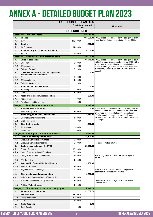# **Annex a - Detailed Budget plan 2023**

| <b>FYEG BUDGET PLAN 2023</b> |                                                                            |                                   |            |                                                                                                             |  |  |  |  |
|------------------------------|----------------------------------------------------------------------------|-----------------------------------|------------|-------------------------------------------------------------------------------------------------------------|--|--|--|--|
|                              |                                                                            | <b>Provisional budget</b><br>plan |            | Comment                                                                                                     |  |  |  |  |
| <b>EXPENDITURES</b>          |                                                                            |                                   |            |                                                                                                             |  |  |  |  |
|                              | <b>Category 1: Personnel costs</b>                                         |                                   | 205,800.00 |                                                                                                             |  |  |  |  |
| 1.1.                         | <b>Salaries</b>                                                            |                                   |            | 113,000.00 FYEG expects the budget for this category to only                                                |  |  |  |  |
| 1.1.1                        | Staff                                                                      | 113,000.00                        |            | raise due to inflation (estimated at 6% for 2023).                                                          |  |  |  |  |
| 1.2.                         | <b>Benefits</b>                                                            |                                   | 14,800.00  |                                                                                                             |  |  |  |  |
| 1.2.1                        | Staff benefits                                                             | 14,800.00                         |            |                                                                                                             |  |  |  |  |
| 1.3.                         | Social security and other Securex costs                                    |                                   | 78,000.00  |                                                                                                             |  |  |  |  |
| 1.3.1                        | Securex                                                                    | 78,000.00                         |            |                                                                                                             |  |  |  |  |
|                              | Category 2: Infrastructure and operating costs                             |                                   | 24,810.00  |                                                                                                             |  |  |  |  |
| 2.1.                         | <b>Office-related costs</b>                                                |                                   |            | 15,710.00 FYEG expects the budget for this category to stay                                                 |  |  |  |  |
| 2.1.1                        | Office rent                                                                | 9,000.00                          |            | within the same lines as the budget for 2022, with a<br>small raise to reflect inflation. In case inflation |  |  |  |  |
| 2.1.2                        | Office meetings                                                            | 500.00                            |            | affects spendings more than expected, expenses in                                                           |  |  |  |  |
| 2.1.3                        | Trainings for staff                                                        | 6,210.00                          |            | staff training will be cut to remain within the set<br>budget.                                              |  |  |  |  |
| 2.2.                         | Costs relating to the installation, operation<br>maintenance and equipment |                                   | 7,000.00   |                                                                                                             |  |  |  |  |
| 2.2.1                        | IT                                                                         | 5,500.00                          |            |                                                                                                             |  |  |  |  |
| 2.2.2                        | Office equipment                                                           | 1,500.00                          |            |                                                                                                             |  |  |  |  |
| 2.2.3                        | Website maintenance                                                        | 0.00                              | 1.600.00   |                                                                                                             |  |  |  |  |
| 2.3.                         | <b>Stationery and office supplies</b>                                      |                                   |            |                                                                                                             |  |  |  |  |
| 2.3.1<br>2.3.2               | Stationery<br>Other                                                        | 100.00                            |            |                                                                                                             |  |  |  |  |
| 2.4.                         | Postal and telecommunications charges                                      | 1,500.00                          | 500.00     |                                                                                                             |  |  |  |  |
| 2.4.1                        | Postal charges                                                             | 100.00                            |            |                                                                                                             |  |  |  |  |
| 2.4.2                        | Telephones, mobile phones                                                  | 400.00                            |            |                                                                                                             |  |  |  |  |
|                              | <b>Category 3: Administrative expenditure</b>                              |                                   | 6,330.00   |                                                                                                             |  |  |  |  |
| 3.1.                         | <b>Administrative expenditure</b>                                          |                                   |            | 1,000.00 FYEG expects the budget for this category to stay                                                  |  |  |  |  |
| 3.1.1                        | <b>Extraordinary costs</b>                                                 | 1,000.00                          |            | within the same lines as the budget for 2022, with a                                                        |  |  |  |  |
| 3.2.                         | Accounting, audit costs, consultancy                                       |                                   | 4,150.00   | small raise to reflect inflation. In case inflation<br>affects spendings more than expected, expenses in    |  |  |  |  |
| 3.2.1                        | External/internal Accountant                                               | 4,000.00                          |            | extraordinary costs will be cut to remain within the                                                        |  |  |  |  |
| 3.2.2                        | Legal expenses                                                             | 150.00                            |            | set budget.                                                                                                 |  |  |  |  |
| 3.3.                         | <b>Other Indirect costs</b>                                                |                                   | 1,180.00   |                                                                                                             |  |  |  |  |
| 3.3.1                        | <b>Bank charges</b>                                                        | 800.00                            |            |                                                                                                             |  |  |  |  |
| 3.3.2                        | Insurances                                                                 | 380.00                            |            |                                                                                                             |  |  |  |  |
|                              | <b>Category 4: Meeting and representation costs</b>                        |                                   | 83,950.00  |                                                                                                             |  |  |  |  |
|                              | 4.1. Costs of EC meetings of the FYEG                                      |                                   | 18,600.00  |                                                                                                             |  |  |  |  |
| 4.1.1                        | <b>Executive Committee allowances</b>                                      | 9,600.00                          |            |                                                                                                             |  |  |  |  |
| 4.1.2                        | <b>Executive Committee meetings</b>                                        | 9,000.00                          |            | Increase to reflect inflation                                                                               |  |  |  |  |
| 4.2.                         | Costs of the meetings of the FYEG                                          |                                   | 50,250.00  |                                                                                                             |  |  |  |  |
| 4.2.1                        | General Assembly                                                           | 17,000.00                         |            |                                                                                                             |  |  |  |  |
| 4.2.3                        | Young Greens training / MO training                                        | 28,000.00                         |            |                                                                                                             |  |  |  |  |
| 4.2.4                        | Young Greens Forum / MO Forum                                              | 4,000.00                          |            | The Young Greens / MO forum will take place<br>online                                                       |  |  |  |  |
| 4.2.5                        | <b>FCAC</b> meeting                                                        | 1,250.00                          |            |                                                                                                             |  |  |  |  |
| 4.3.                         | <b>Membership Fees and Regional Support</b>                                |                                   | 9,100.00   |                                                                                                             |  |  |  |  |
| 4.3.3                        | <b>Membership Fees</b>                                                     | 1,600.00                          |            |                                                                                                             |  |  |  |  |
| 4.3.4                        | Regional network meetings                                                  | 7,500.00                          |            | Back to the 2021 level, to reflect the possible<br>decrease in administrative funding                       |  |  |  |  |
| 4.4.                         | Other meetings and representation                                          |                                   | 6,000.00   |                                                                                                             |  |  |  |  |
| 4.4.1                        | Visits to Member organisations/Study visits                                | 4,000.00                          |            |                                                                                                             |  |  |  |  |
| 4.4.2                        | EGP and Greens/EFA Group Meetings                                          | 1,000.00                          |            | Decrease from 2022 to go back to the level of<br>previous years                                             |  |  |  |  |
| 4.4.3                        | Political Work/Networking                                                  | 1,000.00                          |            |                                                                                                             |  |  |  |  |
|                              | <b>Category 5: Direct Costs: projects and campaigns</b>                    |                                   | 125,509.70 |                                                                                                             |  |  |  |  |
| 5.1.                         | Seminars and conferences                                                   |                                   | 125,509.70 |                                                                                                             |  |  |  |  |
| 5.1.1                        | <b>EYF Work Plan</b>                                                       | 91,509.70                         |            |                                                                                                             |  |  |  |  |
| 5.1.2<br>5.1.3               | Spring conference<br><b>COP</b>                                            | 30,000.00<br>4,000.00             |            |                                                                                                             |  |  |  |  |
| 5.2.                         | <b>Study Sessions</b>                                                      |                                   | 0.00       |                                                                                                             |  |  |  |  |
| 5.2.1                        | <b>Study Sessions</b>                                                      | 0.00                              |            |                                                                                                             |  |  |  |  |
|                              |                                                                            |                                   |            |                                                                                                             |  |  |  |  |

### **Federation of Young European Greens 8 General assembly 2022**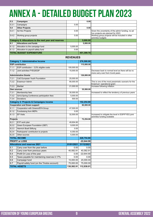# **Annex a - Detailed Budget plan 2023**

| $\overline{5.3}$ | Campaigns                                             |            | 0.00         |                                                                                        |  |  |  |  |  |
|------------------|-------------------------------------------------------|------------|--------------|----------------------------------------------------------------------------------------|--|--|--|--|--|
| 5.3.1            | Campaigns                                             | 0.00       |              |                                                                                        |  |  |  |  |  |
| 5.4              | <b>Other Projects</b>                                 |            | 0.00         |                                                                                        |  |  |  |  |  |
| 5.4.1            | Ad Hoc Projects                                       | 0.00       |              | Given the uncertainty of the admin funding, no ad<br>hoc projects are planned for 2023 |  |  |  |  |  |
| 5.4.2            | Working group projects                                | 0.00       |              | Working group projects will be included in other<br>activities budgets                 |  |  |  |  |  |
|                  | Category 6: Allocations to the next year and reserves |            | 5,000.00     |                                                                                        |  |  |  |  |  |
| 6.1              | <b>Allocations and funds</b>                          |            | 5,000.00     |                                                                                        |  |  |  |  |  |
| 6.1.2            | Allocation to the campaign fund                       | 5,000.00   |              |                                                                                        |  |  |  |  |  |
| 6.1.3            | Allocation to payroll safety fund                     | 0.00       |              |                                                                                        |  |  |  |  |  |
|                  | <b>TOTAL BUDGET EXPENDITURE</b>                       |            | 451,399.70   |                                                                                        |  |  |  |  |  |
|                  | <b>REVENUES</b>                                       |            |              |                                                                                        |  |  |  |  |  |
|                  | <b>Category 1: Administrative Income</b>              |            | 276,500.00   |                                                                                        |  |  |  |  |  |
|                  | <b>EGP</b> contribution                               |            | 115,000.00   |                                                                                        |  |  |  |  |  |
| 7.1.1            | EGP contribution - 3,5% eligible costs                | 100,000.00 |              |                                                                                        |  |  |  |  |  |
| 7.1.2            | Joint activities FYEG/EGP                             | 15,000.00  |              | Decrease back to normal level as there will be no                                      |  |  |  |  |  |
|                  | <b>Administrative Grants</b>                          |            | 126,000.00   | more carry over from Covid years                                                       |  |  |  |  |  |
| 7.2.1            | CoE European Youth Foundation                         | 25,000.00  |              |                                                                                        |  |  |  |  |  |
| 7.2.2            | Erasmus+ Admin                                        | 80,000.00  |              | This is one of the most pessimistic scenario for the<br>Erasmus+ operational grant     |  |  |  |  |  |
| 7.2.3            | Maribel                                               | 21,000.00  |              | Increase following inflation                                                           |  |  |  |  |  |
| Own sources      |                                                       |            | 35,500.00    |                                                                                        |  |  |  |  |  |
| 7.3.1            | Membership fees                                       | 30,000.00  |              | Increased to reflect the tendency of previous years                                    |  |  |  |  |  |
| 7.3.2            | GA & Spring Conference participation fees             | 5,000.00   |              |                                                                                        |  |  |  |  |  |
| 7.3.4            | Donations                                             | 500.00     |              |                                                                                        |  |  |  |  |  |
|                  | <b>Category 2: Projects &amp; Campaigns income</b>    |            | 152,254.80   |                                                                                        |  |  |  |  |  |
|                  | <b>Cooperation and Green support</b>                  |            | 80,000.00    |                                                                                        |  |  |  |  |  |
| 8.1.1            | Cooperation with Greens/EFA Group                     | 47,500.00  |              |                                                                                        |  |  |  |  |  |
| 8.1.2            | Fundraising from MEPs                                 | 0.00       |              |                                                                                        |  |  |  |  |  |
| 8.1.3            | <b>EP Visits</b>                                      | 32,500.00  |              | Increased to mitigate the level in EGP/FYEG joint<br>activities funding available      |  |  |  |  |  |
| Projects         |                                                       |            | 72,254.80    |                                                                                        |  |  |  |  |  |
| 8.2.1            | EYF work plan                                         | 49,904.80  |              |                                                                                        |  |  |  |  |  |
| 8.2.2            | Green European Foundation (GEF)                       | 9,000.00   |              |                                                                                        |  |  |  |  |  |
| 8.2.3            | Heinrich Boell Stiftung                               | 0.00       |              |                                                                                        |  |  |  |  |  |
| 8.2.4            | Participants' contribution to projects                | 8,350.00   |              |                                                                                        |  |  |  |  |  |
| 8.2.5            | Other sources                                         | 5,000.00   |              |                                                                                        |  |  |  |  |  |
|                  | <b>TOTAL INCOME</b>                                   |            | 428,754.80   |                                                                                        |  |  |  |  |  |
|                  | <b>PROFIT or LOSS</b>                                 |            | $-22,644.90$ |                                                                                        |  |  |  |  |  |
|                  | <b>Allocations and reserves 2021</b>                  | 01/01/2021 | 31/12/2021   |                                                                                        |  |  |  |  |  |
| 6.1              | Carry over from the year before                       | 0.00       | 0.00         |                                                                                        |  |  |  |  |  |
| 6.2              | Carry over from previous years                        | 40,582.91  | 40,582.91    |                                                                                        |  |  |  |  |  |
| 6.4              | Profit Or Loss of the year                            | 0.00       | $-22,644.90$ |                                                                                        |  |  |  |  |  |
| 6.5              | Taxes payable for maintaining reserves 0.17%          | 0.00       | 0.00         |                                                                                        |  |  |  |  |  |
| 6.6              | Campaign fund                                         | 15,000.00  | 20,000.00    |                                                                                        |  |  |  |  |  |
| 6.7              | Payroll safety fund (on the Triodos account)          | 75,000.00  | 75,000.00    |                                                                                        |  |  |  |  |  |
|                  | <b>TOTAL ASSETS</b>                                   | 130,582.91 | 112,938.01   |                                                                                        |  |  |  |  |  |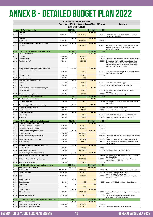# **Annex B - Detailed Budget plan 2022**

| <b>FYEG BUDGET PLAN 2022</b>                                                |                                                         |            |            |            |            |          |                                                                                                   |  |
|-----------------------------------------------------------------------------|---------------------------------------------------------|------------|------------|------------|------------|----------|---------------------------------------------------------------------------------------------------|--|
| Plan voted at GA 2021   Updated Budget Plan<br><b>Difference</b><br>Comment |                                                         |            |            |            |            |          |                                                                                                   |  |
| <b>EXPENDITURES</b>                                                         |                                                         |            |            |            |            |          |                                                                                                   |  |
|                                                                             | <b>Category 1: Personnel costs</b>                      |            | 150,700.05 |            | 194,400.00 | 129.00%  |                                                                                                   |  |
| 1.1.                                                                        | <b>Salaries</b>                                         |            | 99,170.05  |            | 111,100.00 |          |                                                                                                   |  |
| 1.1.1                                                                       | Staff                                                   | 99,170.05  |            | 111,100.00 |            | 112.03%  | Raise of salaries and raise of working hours in                                                   |  |
| 1.2.                                                                        | <b>Benefits</b>                                         |            | 13,530.00  |            | 14,500.00  |          | the administrative unit                                                                           |  |
| 1.2.1                                                                       | Staff benefits                                          | 13,530.00  |            | 14,500.00  |            | 107.17%  |                                                                                                   |  |
| 1.3.                                                                        | Social security and other Securex costs                 |            | 38,000.00  |            | 68,800.00  |          |                                                                                                   |  |
| 1.3.1                                                                       | Securex                                                 | 38,000.00  |            | 68,800.00  |            | 181.05%  | The amount voted in 2021 was underestimated.                                                      |  |
|                                                                             |                                                         |            |            |            |            |          | Plus the raise of salaries is reflected in the                                                    |  |
|                                                                             | <b>Category 2: Infrastructure and operating costs</b>   |            | 23,200.00  |            | 24,760.00  | 106.72%  | increase in taxation                                                                              |  |
| 2.1.                                                                        | Office-related costs                                    |            | 16,400.00  |            | 15,710.00  |          |                                                                                                   |  |
| 2.1.1                                                                       | Office rent                                             | 9,000.00   |            | 9,000.00   |            | 100.00%  |                                                                                                   |  |
| 2.1.2                                                                       | Office meetings                                         | 400.00     |            | 500.00     |            | 125.00%  | Increase in the number of staff and staff meetings                                                |  |
| 2.1.3                                                                       | Trainings for staff                                     | 7,000.00   |            | 6,210.00   |            | 88.71%   | The amount voted in 2021 included consultancy.                                                    |  |
|                                                                             |                                                         |            |            |            |            |          | The update version only includes staff training<br>and the budget is raise to increase the number |  |
| 2.2.                                                                        | Costs relating to the installation, operation           |            | 5,200.00   |            | 7,000.00   |          | and quality of trainings for staff                                                                |  |
|                                                                             | maintenance and equipment                               |            |            |            |            |          |                                                                                                   |  |
| 2.2.1                                                                       | IT                                                      | 2,500.00   |            | 5,500.00   |            | 220.00%  | Increase in the use of digital tools and adoption of                                              |  |
| 2.2.2                                                                       | Office equipment                                        | 1,500.00   |            | 1,500.00   |            | 100.00%  | an accounting software                                                                            |  |
| 2.2.3                                                                       | Website maintenance                                     | 1,200.00   |            | 0.00       |            |          |                                                                                                   |  |
| 2.3.                                                                        | <b>Stationery and office supplies</b>                   |            | 1,050.00   |            | 1,600.00   |          |                                                                                                   |  |
| 2.3.1                                                                       | Stationery                                              | 50.00      |            | 100.00     |            | 200.00%  | Increase in the price of supplies                                                                 |  |
| 2.3.2                                                                       | Other                                                   | 1.000.00   |            | 1,500.00   |            | 150.00%  | Increased to reflect the increase in staff                                                        |  |
| 2.4.                                                                        | Postal and telecommunications charges                   |            | 550.00     |            | 450.00     |          |                                                                                                   |  |
| 2.4.1                                                                       | Postal charges                                          | 50.00      |            | 100.00     |            |          | 200.00% Increase in registered mail linked to grant                                               |  |
| 2.4.2                                                                       | Telephones, mobile phones                               | 500.00     |            | 350.00     |            | 70.00%   | signature<br>Lowered to reflect acctual expenses                                                  |  |
|                                                                             | <b>Category 3: Administrative expenditure</b>           |            | 5,290.00   |            | 6,140.00   | 116.07%  |                                                                                                   |  |
| 3.1.                                                                        | Administrative expenditure                              |            | 550.00     |            | 1,000.00   |          |                                                                                                   |  |
| 3.1.1                                                                       | Extraordinary costs                                     | 550.00     |            | 1,000.00   |            | 181.82%  | Increased to include possible costs linked to the                                                 |  |
|                                                                             |                                                         |            |            |            |            |          | internships                                                                                       |  |
| 3.2.                                                                        | Accounting, audit costs, consultancy                    |            | 3,900.00   |            | 3,980.00   |          |                                                                                                   |  |
| 3.2.1                                                                       | External/internal Accountant                            | 3,400.00   |            | 3,840.00   |            | 112.94%  | Increase in the Accountant's fee                                                                  |  |
| 3.2.2                                                                       | Legal expenses                                          | 500.00     |            | 140.00     |            | 28.00%   | Lowered to reflect acctual expenses                                                               |  |
| 3.3.                                                                        | <b>Other Indirect costs</b>                             |            | 840.00     |            | 1,160.00   |          |                                                                                                   |  |
| 3.3.1                                                                       | Bank charges                                            | 400.00     |            | 800.00     |            | 200.00%  | Increase for the opening of a second account                                                      |  |
| 3.3.2                                                                       | Insurances                                              | 440.00     |            | 360.00     |            | 81.82%   | Lowered due to the end of an equipment<br>insurance contract                                      |  |
|                                                                             | <b>Category 4: Meeting and representation costs</b>     |            | 78,200.00  |            | 101,218.91 | 129.44%  |                                                                                                   |  |
| 4.1.                                                                        | Costs of EC meetings of the FYEG                        |            | 17,600.00  |            | 17,600.00  |          |                                                                                                   |  |
| 4.1.1                                                                       | <b>Executive Committee allowances</b>                   | 9,600.00   |            | 9,600.00   |            | 100.00%  |                                                                                                   |  |
| 4.1.2                                                                       | <b>Executive Committee meetings</b>                     | 8.000.00   |            | 8,000.00   |            | 100.00%  |                                                                                                   |  |
| 4.2.                                                                        | Costs of the meetings of the FYEG                       |            | 46,000.00  |            | 52,518.91  |          |                                                                                                   |  |
| 4.2.1                                                                       | <b>General Assembly</b>                                 | 17,000.00  |            | 18,000.00  |            | 105.88%  |                                                                                                   |  |
| 4.2.3                                                                       | Young Greens training / MO training                     | 3,000.00   |            | 28,000.00  |            |          | 933.33% Increase due to the new traing format, see activity<br>plan                               |  |
| 4.2.4                                                                       | Young Greens Forum / MO Forum                           | 25,000.00  |            | 5,968.91   |            | 23.88%   | Lower expenses as the event was moved online                                                      |  |
| 4.2.5                                                                       | FCAC meeting                                            | 1,000.00   |            | 550.00     |            | 55.00%   | Lower expenses as the meeting was done in an                                                      |  |
| 4.3.                                                                        | <b>Membership Fees and Regional Support</b>             |            | 9,100.00   |            | 11,600.00  |          | hybrid format                                                                                     |  |
| 4.3.3                                                                       | Membership Fees                                         | 1,600.00   |            | 1,600.00   |            | 100.00%  |                                                                                                   |  |
| 4.3.4                                                                       | Regional network meetings                               | 7,500.00   |            | 10,000.00  |            | 133.33%  | Increase in the contribution to CDN                                                               |  |
| 4.4.                                                                        | Other meetings and representation                       |            | 5,500.00   |            | 19,500.00  |          |                                                                                                   |  |
| 4.4.1                                                                       | Visits to Member organisations/Study visits             | 3,500.00   |            | 4,000.00   |            | 114.29%  | Increase for the organisation of 3 Study Visits to                                                |  |
|                                                                             |                                                         |            |            |            |            |          | Candidate MOs                                                                                     |  |
| 4.4.2                                                                       | EGP and Greens/EFA Group Meetings                       | 1,000.00   |            | 14,500.00  |            | 1450.00% | Increase for the organisation of youth events<br>during the EGP Councils                          |  |
| 4.4.3                                                                       | <b>Political Work/Networking</b>                        | 1,000.00   |            | 1,000.00   |            | 100.00%  |                                                                                                   |  |
|                                                                             | <b>Category 5: Direct Costs: projects and campaigns</b> |            | 165,591.30 |            | 191,246.85 | 115.49%  |                                                                                                   |  |
| 5.1.                                                                        | Seminars and conferences                                |            | 156,191.30 |            | 133,665.80 |          |                                                                                                   |  |
| 5.1.1                                                                       | EYF Work Plan                                           | 101,191.30 |            | 90,165.80  |            | 89.10%   | The amount voted in 2021 was overestimated                                                        |  |
| 5.1.2                                                                       | Spring conference                                       | 35,000.00  |            | 39,500.00  |            | 112.86%  | Increase due to the higher cost of                                                                |  |
| 5.1.3                                                                       | COP                                                     | 20,000.00  |            | 4,000.00   |            | 20.00%   | accommodation for the event<br>Lower as FYEG will only organise a delegation                      |  |
| 5.2.                                                                        |                                                         |            | 400.00     |            |            |          | and not a event                                                                                   |  |
| 5.2.1                                                                       | <b>Study Sessions</b><br><b>Study Sessions</b>          | 400.00     |            | 0.00       | 0.00       | $0.00\%$ | Lower as FYEG will not host a Study Session                                                       |  |
| 5.3.                                                                        | Campaigns                                               |            | 0.00       |            | 0.00       |          |                                                                                                   |  |
| 5.3.1                                                                       | Campaigns                                               | 0.00       |            | 0.00       |            |          |                                                                                                   |  |
| 5.4                                                                         | <b>Other Projects</b>                                   |            | 9,000.00   |            | 57,581.05  |          |                                                                                                   |  |
| 5.4.1                                                                       | Ad Hoc Projects                                         | 5,000.00   |            | 57,581.05  |            | 1151.62% | Increased to include several project, see financial                                               |  |
|                                                                             |                                                         |            |            |            |            |          | plan                                                                                              |  |
| 5.4.2                                                                       | Working group projects                                  | 4,000.00   |            | 0.00       |            | 0.00%    | Lower as working group projects have been<br>included in other activities budgets                 |  |
|                                                                             | Category 6: Allocations to the next year and reserves   |            | 5,000.00   |            | 30,000.00  | 600.00%  |                                                                                                   |  |
| 6.1                                                                         | <b>Allocations and funds</b>                            |            | 5,000.00   |            | 30,000.00  |          |                                                                                                   |  |
| 6.1.2                                                                       | Allocation to the campaign fund                         | 5,000.00   |            | 5,000.00   |            | 100.00%  |                                                                                                   |  |
| 6.1.3                                                                       | Allocation to payroll safety fund                       | 0.00       |            | 25,000.00  |            |          | 500.00%   Increase to follow the raise of salaries                                                |  |

### **Federation of Young European Greens 10 General assembly 2022**